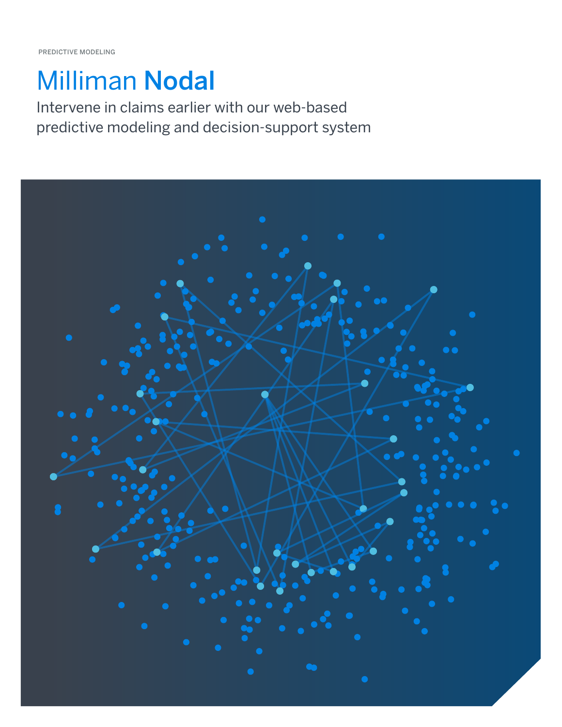# Milliman Nodal

Intervene in claims earlier with our web-based predictive modeling and decision-support system

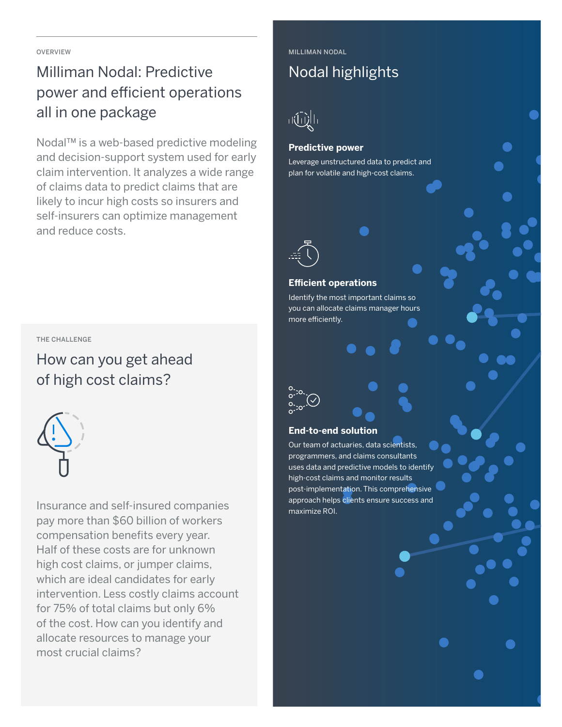OVERVIEW

# Milliman Nodal: Predictive power and efficient operations all in one package

Nodal™ is a web-based predictive modeling and decision-support system used for early claim intervention. It analyzes a wide range of claims data to predict claims that are likely to incur high costs so insurers and self-insurers can optimize management and reduce costs.

#### THE CHALLENGE

How can you get ahead of high cost claims?



Insurance and self-insured companies pay more than \$60 billion of workers compensation benefits every year. Half of these costs are for unknown high cost claims, or jumper claims, which are ideal candidates for early intervention. Less costly claims account for 75% of total claims but only 6% of the cost. How can you identify and allocate resources to manage your most crucial claims?

MILLIMAN NODAL

### Nodal highlights

# 司通信

#### **Predictive power**

Leverage unstructured data to predict and plan for volatile and high-cost claims.



#### **Efficient operations**

Identify the most important claims so you can allocate claims manager hours more efficiently.



#### **End-to-end solution**

Our team of actuaries, data scientists, programmers, and claims consultants uses data and predictive models to identify high-cost claims and monitor results post-implementation. This comprehensive approach helps clients ensure success and maximize ROI.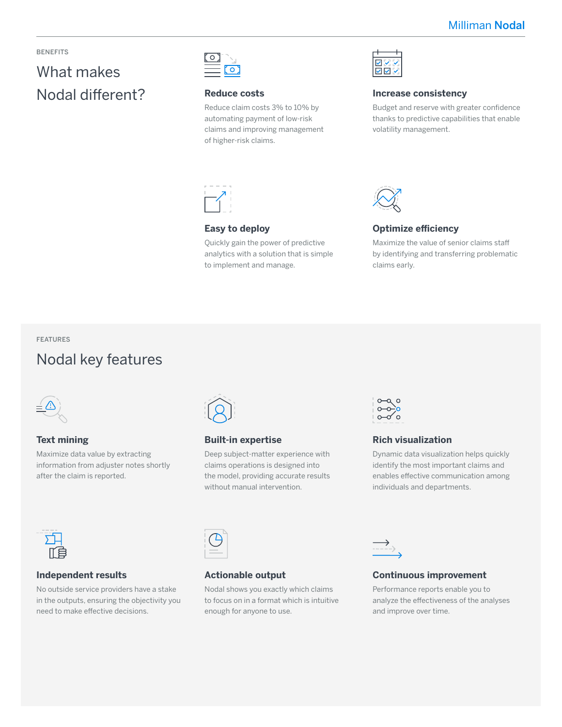#### BENEFITS

# What makes Nodal different?



#### **Reduce costs**

Reduce claim costs 3% to 10% by automating payment of low-risk claims and improving management of higher-risk claims.



#### **Easy to deploy**

Quickly gain the power of predictive analytics with a solution that is simple to implement and manage.



#### **Increase consistency**

Budget and reserve with greater confidence thanks to predictive capabilities that enable volatility management.



#### **Optimize efficiency**

Maximize the value of senior claims staff by identifying and transferring problematic claims early.

#### FEATURES

### Nodal key features



#### **Text mining**

Maximize data value by extracting information from adjuster notes shortly after the claim is reported.



#### **Built-in expertise**

Deep subject-matter experience with claims operations is designed into the model, providing accurate results without manual intervention.



#### **Rich visualization**

Dynamic data visualization helps quickly identify the most important claims and enables effective communication among individuals and departments.



#### **Independent results**

No outside service providers have a stake in the outputs, ensuring the objectivity you need to make effective decisions.



#### **Actionable output**

Nodal shows you exactly which claims to focus on in a format which is intuitive enough for anyone to use.



#### **Continuous improvement**

Performance reports enable you to analyze the effectiveness of the analyses and improve over time.